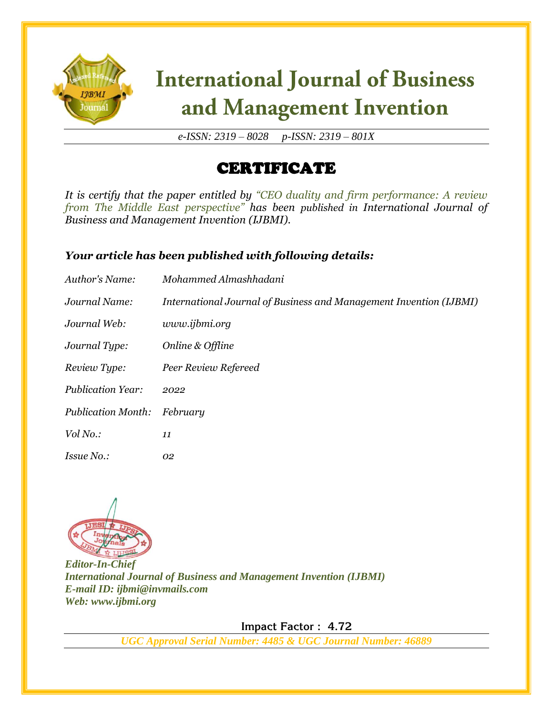

# **International Journal of Business** and Management Invention

*e-ISSN: 2319 – 8028 p-ISSN: 2319 – 801X*

### CERTIFICATE

*It is certify that the paper entitled by "CEO duality and firm performance: A review from The Middle East perspective" has been published in International Journal of Business and Management Invention (IJBMI).*

#### *Your article has been published with following details:*

| Author's Name:            | Mohammed Almashhadani                                              |
|---------------------------|--------------------------------------------------------------------|
| Journal Name:             | International Journal of Business and Management Invention (IJBMI) |
| Journal Web:              | www.ijbmi.org                                                      |
| Journal Type:             | Online & Offline                                                   |
| Review Type:              | Peer Review Refereed                                               |
| <b>Publication Year:</b>  | 2022                                                               |
| <b>Publication Month:</b> | February                                                           |
| Vol No.:                  | 11                                                                 |
| <i>Issue No.:</i>         | 02                                                                 |



*Editor-In-Chief International Journal of Business and Management Invention (IJBMI) E-mail ID: ijbmi@invmails.com Web: www.ijbmi.org*

 **Impact Factor : 4.72** 

*UGC Approval Serial Number: 4485 & UGC Journal Number: 46889*